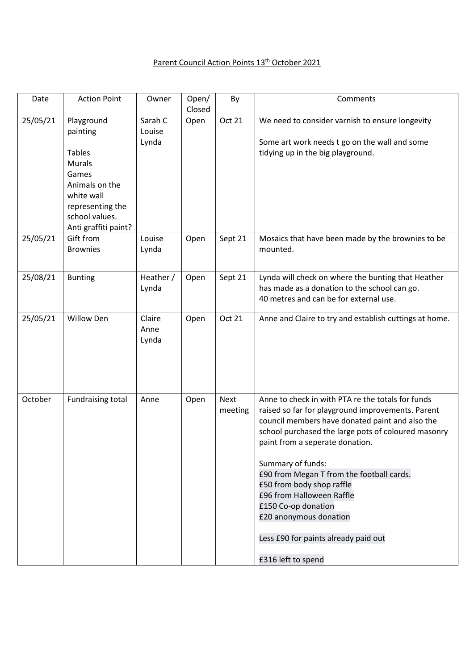## Parent Council Action Points 13<sup>th</sup> October 2021

| Date     | <b>Action Point</b>                                                                                                                                             | Owner                      | Open/<br>Closed | By              | Comments                                                                                                                                                                                                                                                                                                                                                                                                                                                                                       |
|----------|-----------------------------------------------------------------------------------------------------------------------------------------------------------------|----------------------------|-----------------|-----------------|------------------------------------------------------------------------------------------------------------------------------------------------------------------------------------------------------------------------------------------------------------------------------------------------------------------------------------------------------------------------------------------------------------------------------------------------------------------------------------------------|
| 25/05/21 | Playground<br>painting<br><b>Tables</b><br><b>Murals</b><br>Games<br>Animals on the<br>white wall<br>representing the<br>school values.<br>Anti graffiti paint? | Sarah C<br>Louise<br>Lynda | Open            | <b>Oct 21</b>   | We need to consider varnish to ensure longevity<br>Some art work needs t go on the wall and some<br>tidying up in the big playground.                                                                                                                                                                                                                                                                                                                                                          |
| 25/05/21 | Gift from<br><b>Brownies</b>                                                                                                                                    | Louise<br>Lynda            | Open            | Sept 21         | Mosaics that have been made by the brownies to be<br>mounted.                                                                                                                                                                                                                                                                                                                                                                                                                                  |
| 25/08/21 | <b>Bunting</b>                                                                                                                                                  | Heather /<br>Lynda         | Open            | Sept 21         | Lynda will check on where the bunting that Heather<br>has made as a donation to the school can go.<br>40 metres and can be for external use.                                                                                                                                                                                                                                                                                                                                                   |
| 25/05/21 | <b>Willow Den</b>                                                                                                                                               | Claire<br>Anne<br>Lynda    | Open            | <b>Oct 21</b>   | Anne and Claire to try and establish cuttings at home.                                                                                                                                                                                                                                                                                                                                                                                                                                         |
| October  | <b>Fundraising total</b>                                                                                                                                        | Anne                       | Open            | Next<br>meeting | Anne to check in with PTA re the totals for funds<br>raised so far for playground improvements. Parent<br>council members have donated paint and also the<br>school purchased the large pots of coloured masonry<br>paint from a seperate donation.<br>Summary of funds:<br>£90 from Megan T from the football cards.<br>£50 from body shop raffle<br>£96 from Halloween Raffle<br>£150 Co-op donation<br>£20 anonymous donation<br>Less £90 for paints already paid out<br>£316 left to spend |